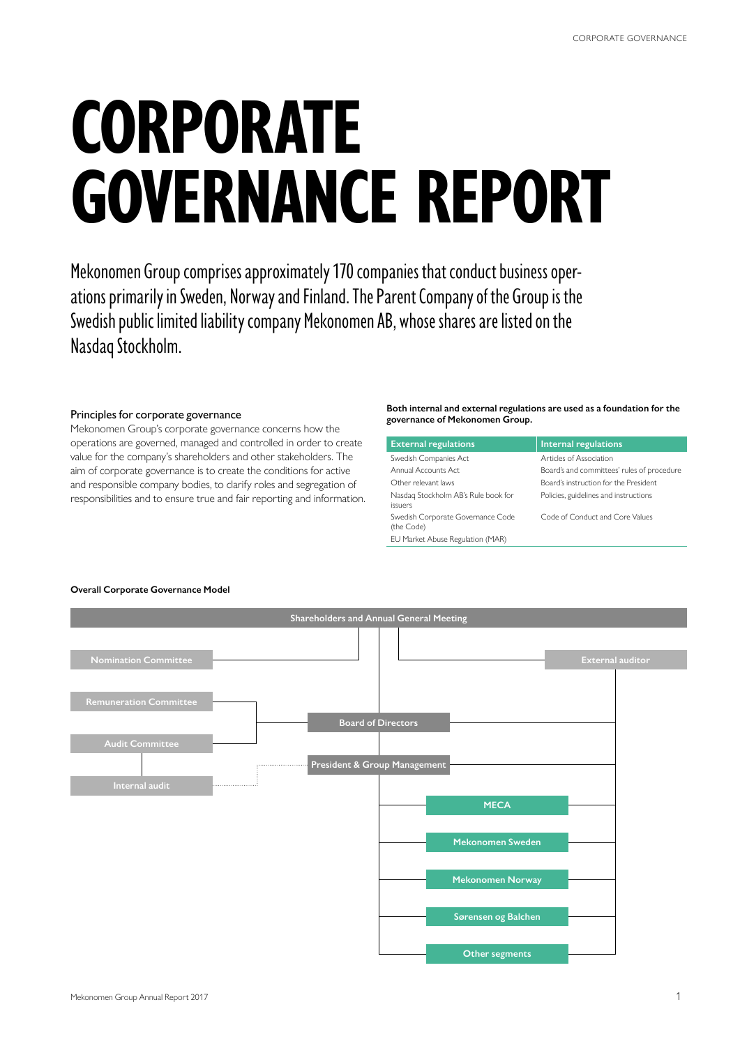# **CORPORATE GOVERNANCE REPORT**

Mekonomen Group comprises approximately 170 companies that conduct business operations primarily in Sweden, Norway and Finland. The Parent Company of the Group is the Swedish public limited liability company Mekonomen AB, whose shares are listed on the Nasdaq Stockholm.

#### Principles for corporate governance

Mekonomen Group's corporate governance concerns how the operations are governed, managed and controlled in order to create value for the company's shareholders and other stakeholders. The aim of corporate governance is to create the conditions for active and responsible company bodies, to clarify roles and segregation of responsibilities and to ensure true and fair reporting and information.

#### **Both internal and external regulations are used as a foundation for the governance of Mekonomen Group.**

| <b>External regulations</b>                     | <b>Internal regulations</b>                |
|-------------------------------------------------|--------------------------------------------|
| Swedish Companies Act                           | Articles of Association                    |
| Annual Accounts Act                             | Board's and committees' rules of procedure |
| Other relevant laws                             | Board's instruction for the President      |
| Nasdag Stockholm AB's Rule book for<br>issuers  | Policies, guidelines and instructions      |
| Swedish Corporate Governance Code<br>(the Code) | Code of Conduct and Core Values            |
| EU Market Abuse Regulation (MAR)                |                                            |

## **Overall Corporate Governance Model**

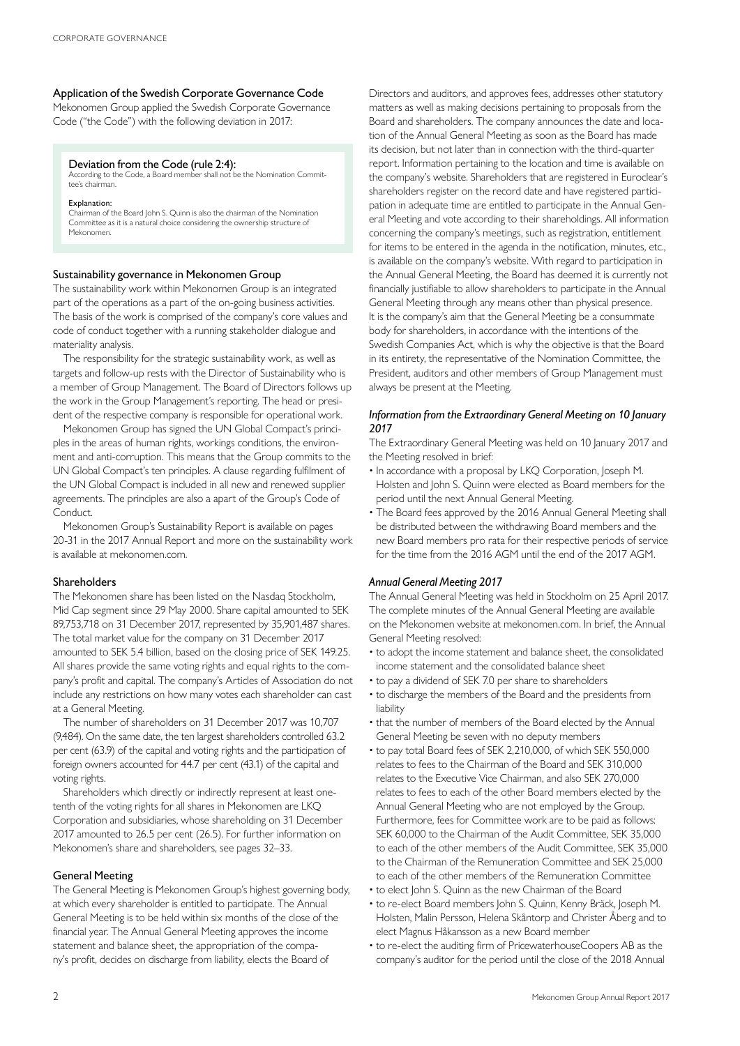#### Application of the Swedish Corporate Governance Code

Mekonomen Group applied the Swedish Corporate Governance Code ("the Code") with the following deviation in 2017:

#### Deviation from the Code (rule 2:4):

According to the Code, a Board member shall not be the Nomination Committee's chairman.

#### Explanation:

Chairman of the Board John S. Quinn is also the chairman of the Nomination Committee as it is a natural choice considering the ownership structure of Mekonomen.

#### Sustainability governance in Mekonomen Group

The sustainability work within Mekonomen Group is an integrated part of the operations as a part of the on-going business activities. The basis of the work is comprised of the company's core values and code of conduct together with a running stakeholder dialogue and materiality analysis.

The responsibility for the strategic sustainability work, as well as targets and follow-up rests with the Director of Sustainability who is a member of Group Management. The Board of Directors follows up the work in the Group Management's reporting. The head or president of the respective company is responsible for operational work.

Mekonomen Group has signed the UN Global Compact's principles in the areas of human rights, workings conditions, the environment and anti-corruption. This means that the Group commits to the UN Global Compact's ten principles. A clause regarding fulfilment of the UN Global Compact is included in all new and renewed supplier agreements. The principles are also a apart of the Group's Code of Conduct.

Mekonomen Group's Sustainability Report is available on pages 20-31 in the 2017 Annual Report and more on the sustainability work is available at mekonomen.com.

#### Shareholders

The Mekonomen share has been listed on the Nasdaq Stockholm, Mid Cap segment since 29 May 2000. Share capital amounted to SEK 89,753,718 on 31 December 2017, represented by 35,901,487 shares. The total market value for the company on 31 December 2017 amounted to SEK 5.4 billion, based on the closing price of SEK 149.25. All shares provide the same voting rights and equal rights to the company's profit and capital. The company's Articles of Association do not include any restrictions on how many votes each shareholder can cast at a General Meeting.

The number of shareholders on 31 December 2017 was 10,707 (9,484). On the same date, the ten largest shareholders controlled 63.2 per cent (63.9) of the capital and voting rights and the participation of foreign owners accounted for 44.7 per cent (43.1) of the capital and voting rights.

Shareholders which directly or indirectly represent at least onetenth of the voting rights for all shares in Mekonomen are LKQ Corporation and subsidiaries, whose shareholding on 31 December 2017 amounted to 26.5 per cent (26.5). For further information on Mekonomen's share and shareholders, see pages 32–33.

#### General Meeting

The General Meeting is Mekonomen Group's highest governing body, at which every shareholder is entitled to participate. The Annual General Meeting is to be held within six months of the close of the financial year. The Annual General Meeting approves the income statement and balance sheet, the appropriation of the company's profit, decides on discharge from liability, elects the Board of

Directors and auditors, and approves fees, addresses other statutory matters as well as making decisions pertaining to proposals from the Board and shareholders. The company announces the date and location of the Annual General Meeting as soon as the Board has made its decision, but not later than in connection with the third-quarter report. Information pertaining to the location and time is available on the company's website. Shareholders that are registered in Euroclear's shareholders register on the record date and have registered participation in adequate time are entitled to participate in the Annual General Meeting and vote according to their shareholdings. All information concerning the company's meetings, such as registration, entitlement for items to be entered in the agenda in the notification, minutes, etc., is available on the company's website. With regard to participation in the Annual General Meeting, the Board has deemed it is currently not financially justifiable to allow shareholders to participate in the Annual General Meeting through any means other than physical presence. It is the company's aim that the General Meeting be a consummate body for shareholders, in accordance with the intentions of the Swedish Companies Act, which is why the objective is that the Board in its entirety, the representative of the Nomination Committee, the President, auditors and other members of Group Management must always be present at the Meeting.

#### *Information from the Extraordinary General Meeting on 10 January 2017*

The Extraordinary General Meeting was held on 10 January 2017 and the Meeting resolved in brief:

- In accordance with a proposal by LKQ Corporation, Joseph M. Holsten and John S. Quinn were elected as Board members for the period until the next Annual General Meeting.
- The Board fees approved by the 2016 Annual General Meeting shall be distributed between the withdrawing Board members and the new Board members pro rata for their respective periods of service for the time from the 2016 AGM until the end of the 2017 AGM.

#### *Annual General Meeting 2017*

The Annual General Meeting was held in Stockholm on 25 April 2017. The complete minutes of the Annual General Meeting are available on the Mekonomen website at mekonomen.com. In brief, the Annual General Meeting resolved:

- to adopt the income statement and balance sheet, the consolidated income statement and the consolidated balance sheet
- to pay a dividend of SEK 7.0 per share to shareholders
- to discharge the members of the Board and the presidents from liability
- that the number of members of the Board elected by the Annual General Meeting be seven with no deputy members
- to pay total Board fees of SEK 2,210,000, of which SEK 550,000 relates to fees to the Chairman of the Board and SEK 310,000 relates to the Executive Vice Chairman, and also SEK 270,000 relates to fees to each of the other Board members elected by the Annual General Meeting who are not employed by the Group. Furthermore, fees for Committee work are to be paid as follows: SEK 60,000 to the Chairman of the Audit Committee, SEK 35,000 to each of the other members of the Audit Committee, SEK 35,000 to the Chairman of the Remuneration Committee and SEK 25,000 to each of the other members of the Remuneration Committee
- to elect John S. Quinn as the new Chairman of the Board
- to re-elect Board members John S. Quinn, Kenny Bräck, Joseph M. Holsten, Malin Persson, Helena Skåntorp and Christer Åberg and to elect Magnus Håkansson as a new Board member
- to re-elect the auditing firm of PricewaterhouseCoopers AB as the company's auditor for the period until the close of the 2018 Annual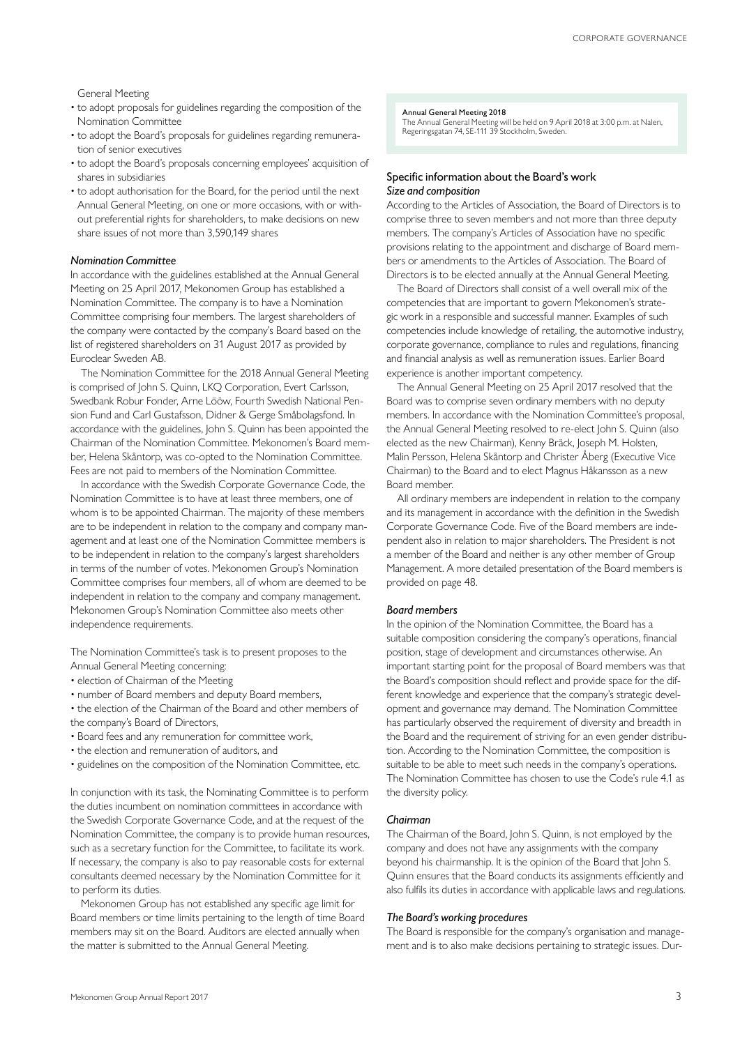General Meeting

- to adopt proposals for guidelines regarding the composition of the Nomination Committee
- to adopt the Board's proposals for guidelines regarding remuneration of senior executives
- to adopt the Board's proposals concerning employees' acquisition of shares in subsidiaries
- to adopt authorisation for the Board, for the period until the next Annual General Meeting, on one or more occasions, with or without preferential rights for shareholders, to make decisions on new share issues of not more than 3,590,149 shares

#### *Nomination Committee*

In accordance with the guidelines established at the Annual General Meeting on 25 April 2017, Mekonomen Group has established a Nomination Committee. The company is to have a Nomination Committee comprising four members. The largest shareholders of the company were contacted by the company's Board based on the list of registered shareholders on 31 August 2017 as provided by Euroclear Sweden AB.

The Nomination Committee for the 2018 Annual General Meeting is comprised of John S. Quinn, LKQ Corporation, Evert Carlsson, Swedbank Robur Fonder, Arne Lööw, Fourth Swedish National Pension Fund and Carl Gustafsson, Didner & Gerge Småbolagsfond. In accordance with the guidelines, John S. Quinn has been appointed the Chairman of the Nomination Committee. Mekonomen's Board member, Helena Skåntorp, was co-opted to the Nomination Committee. Fees are not paid to members of the Nomination Committee.

In accordance with the Swedish Corporate Governance Code, the Nomination Committee is to have at least three members, one of whom is to be appointed Chairman. The majority of these members are to be independent in relation to the company and company management and at least one of the Nomination Committee members is to be independent in relation to the company's largest shareholders in terms of the number of votes. Mekonomen Group's Nomination Committee comprises four members, all of whom are deemed to be independent in relation to the company and company management. Mekonomen Group's Nomination Committee also meets other independence requirements.

The Nomination Committee's task is to present proposes to the Annual General Meeting concerning:

- election of Chairman of the Meeting
- number of Board members and deputy Board members,

• the election of the Chairman of the Board and other members of the company's Board of Directors,

- Board fees and any remuneration for committee work,
- the election and remuneration of auditors, and
- guidelines on the composition of the Nomination Committee, etc.

In conjunction with its task, the Nominating Committee is to perform the duties incumbent on nomination committees in accordance with the Swedish Corporate Governance Code, and at the request of the Nomination Committee, the company is to provide human resources, such as a secretary function for the Committee, to facilitate its work. If necessary, the company is also to pay reasonable costs for external consultants deemed necessary by the Nomination Committee for it to perform its duties.

Mekonomen Group has not established any specific age limit for Board members or time limits pertaining to the length of time Board members may sit on the Board. Auditors are elected annually when the matter is submitted to the Annual General Meeting.

#### Annual General Meeting 2018

The Annual General Meeting will be held on 9 April 2018 at 3:00 p.m. at Nalen, Regeringsgatan 74, SE-111 39 Stockholm, Sweden.

#### Specific information about the Board's work *Size and composition*

According to the Articles of Association, the Board of Directors is to comprise three to seven members and not more than three deputy members. The company's Articles of Association have no specific provisions relating to the appointment and discharge of Board members or amendments to the Articles of Association. The Board of Directors is to be elected annually at the Annual General Meeting.

The Board of Directors shall consist of a well overall mix of the competencies that are important to govern Mekonomen's strategic work in a responsible and successful manner. Examples of such competencies include knowledge of retailing, the automotive industry, corporate governance, compliance to rules and regulations, financing and financial analysis as well as remuneration issues. Earlier Board experience is another important competency.

The Annual General Meeting on 25 April 2017 resolved that the Board was to comprise seven ordinary members with no deputy members. In accordance with the Nomination Committee's proposal, the Annual General Meeting resolved to re-elect John S. Quinn (also elected as the new Chairman), Kenny Bräck, Joseph M. Holsten, Malin Persson, Helena Skåntorp and Christer Åberg (Executive Vice Chairman) to the Board and to elect Magnus Håkansson as a new Board member.

All ordinary members are independent in relation to the company and its management in accordance with the definition in the Swedish Corporate Governance Code. Five of the Board members are independent also in relation to major shareholders. The President is not a member of the Board and neither is any other member of Group Management. A more detailed presentation of the Board members is provided on page 48.

#### *Board members*

In the opinion of the Nomination Committee, the Board has a suitable composition considering the company's operations, financial position, stage of development and circumstances otherwise. An important starting point for the proposal of Board members was that the Board's composition should reflect and provide space for the different knowledge and experience that the company's strategic development and governance may demand. The Nomination Committee has particularly observed the requirement of diversity and breadth in the Board and the requirement of striving for an even gender distribution. According to the Nomination Committee, the composition is suitable to be able to meet such needs in the company's operations. The Nomination Committee has chosen to use the Code's rule 4.1 as the diversity policy.

#### *Chairman*

The Chairman of the Board, John S. Quinn, is not employed by the company and does not have any assignments with the company beyond his chairmanship. It is the opinion of the Board that John S. Quinn ensures that the Board conducts its assignments efficiently and also fulfils its duties in accordance with applicable laws and regulations.

#### *The Board's working procedures*

The Board is responsible for the company's organisation and management and is to also make decisions pertaining to strategic issues. Dur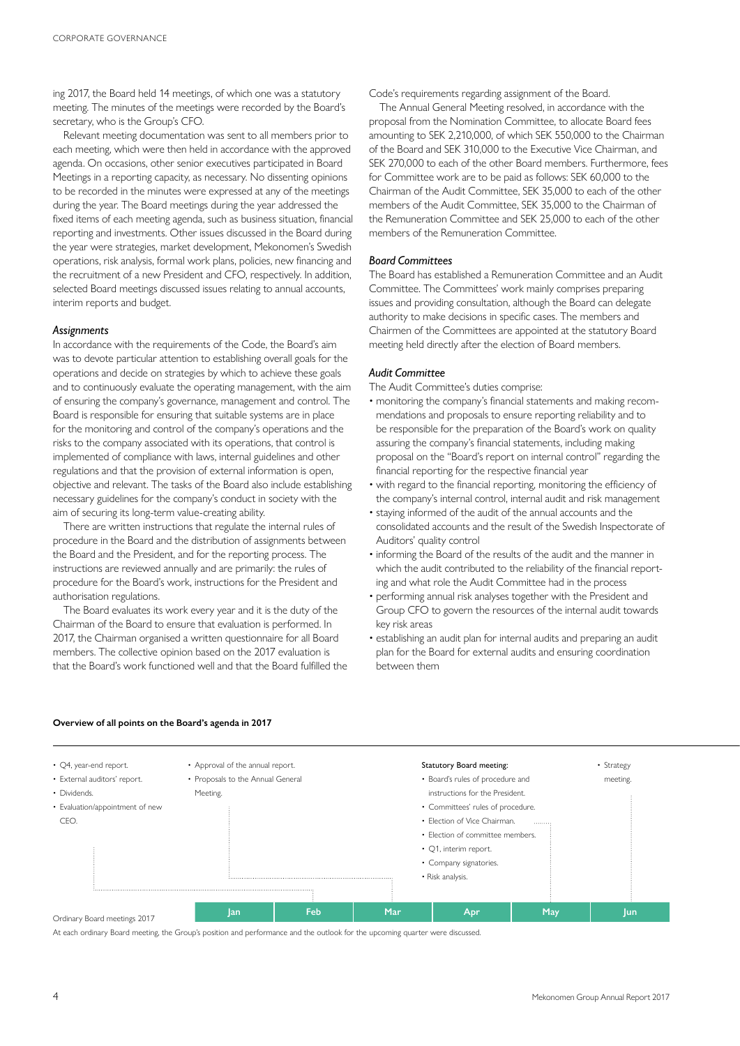ing 2017, the Board held 14 meetings, of which one was a statutory meeting. The minutes of the meetings were recorded by the Board's secretary, who is the Group's CFO.

Relevant meeting documentation was sent to all members prior to each meeting, which were then held in accordance with the approved agenda. On occasions, other senior executives participated in Board Meetings in a reporting capacity, as necessary. No dissenting opinions to be recorded in the minutes were expressed at any of the meetings during the year. The Board meetings during the year addressed the fixed items of each meeting agenda, such as business situation, financial reporting and investments. Other issues discussed in the Board during the year were strategies, market development, Mekonomen's Swedish operations, risk analysis, formal work plans, policies, new financing and the recruitment of a new President and CFO, respectively. In addition, selected Board meetings discussed issues relating to annual accounts, interim reports and budget.

#### *Assignments*

In accordance with the requirements of the Code, the Board's aim was to devote particular attention to establishing overall goals for the operations and decide on strategies by which to achieve these goals and to continuously evaluate the operating management, with the aim of ensuring the company's governance, management and control. The Board is responsible for ensuring that suitable systems are in place for the monitoring and control of the company's operations and the risks to the company associated with its operations, that control is implemented of compliance with laws, internal guidelines and other regulations and that the provision of external information is open, objective and relevant. The tasks of the Board also include establishing necessary guidelines for the company's conduct in society with the aim of securing its long-term value-creating ability.

There are written instructions that regulate the internal rules of procedure in the Board and the distribution of assignments between the Board and the President, and for the reporting process. The instructions are reviewed annually and are primarily: the rules of procedure for the Board's work, instructions for the President and authorisation regulations.

The Board evaluates its work every year and it is the duty of the Chairman of the Board to ensure that evaluation is performed. In 2017, the Chairman organised a written questionnaire for all Board members. The collective opinion based on the 2017 evaluation is that the Board's work functioned well and that the Board fulfilled the Code's requirements regarding assignment of the Board.

The Annual General Meeting resolved, in accordance with the proposal from the Nomination Committee, to allocate Board fees amounting to SEK 2,210,000, of which SEK 550,000 to the Chairman of the Board and SEK 310,000 to the Executive Vice Chairman, and SEK 270,000 to each of the other Board members. Furthermore, fees for Committee work are to be paid as follows: SEK 60,000 to the Chairman of the Audit Committee, SEK 35,000 to each of the other members of the Audit Committee, SEK 35,000 to the Chairman of the Remuneration Committee and SEK 25,000 to each of the other members of the Remuneration Committee.

#### *Board Committees*

The Board has established a Remuneration Committee and an Audit Committee. The Committees' work mainly comprises preparing issues and providing consultation, although the Board can delegate authority to make decisions in specific cases. The members and Chairmen of the Committees are appointed at the statutory Board meeting held directly after the election of Board members.

#### *Audit Committee*

The Audit Committee's duties comprise:

- monitoring the company's financial statements and making recommendations and proposals to ensure reporting reliability and to be responsible for the preparation of the Board's work on quality assuring the company's financial statements, including making proposal on the "Board's report on internal control" regarding the financial reporting for the respective financial year
- with regard to the financial reporting, monitoring the efficiency of the company's internal control, internal audit and risk management
- staying informed of the audit of the annual accounts and the consolidated accounts and the result of the Swedish Inspectorate of Auditors' quality control
- informing the Board of the results of the audit and the manner in which the audit contributed to the reliability of the financial reporting and what role the Audit Committee had in the process
- performing annual risk analyses together with the President and Group CFO to govern the resources of the internal audit towards key risk areas
- establishing an audit plan for internal audits and preparing an audit plan for the Board for external audits and ensuring coordination between them



#### **Overview of all points on the Board's agenda in 2017**

Ordinary Board meetings 2017

At each ordinary Board meeting, the Group's position and performance and the outlook for the upcoming quarter were discussed.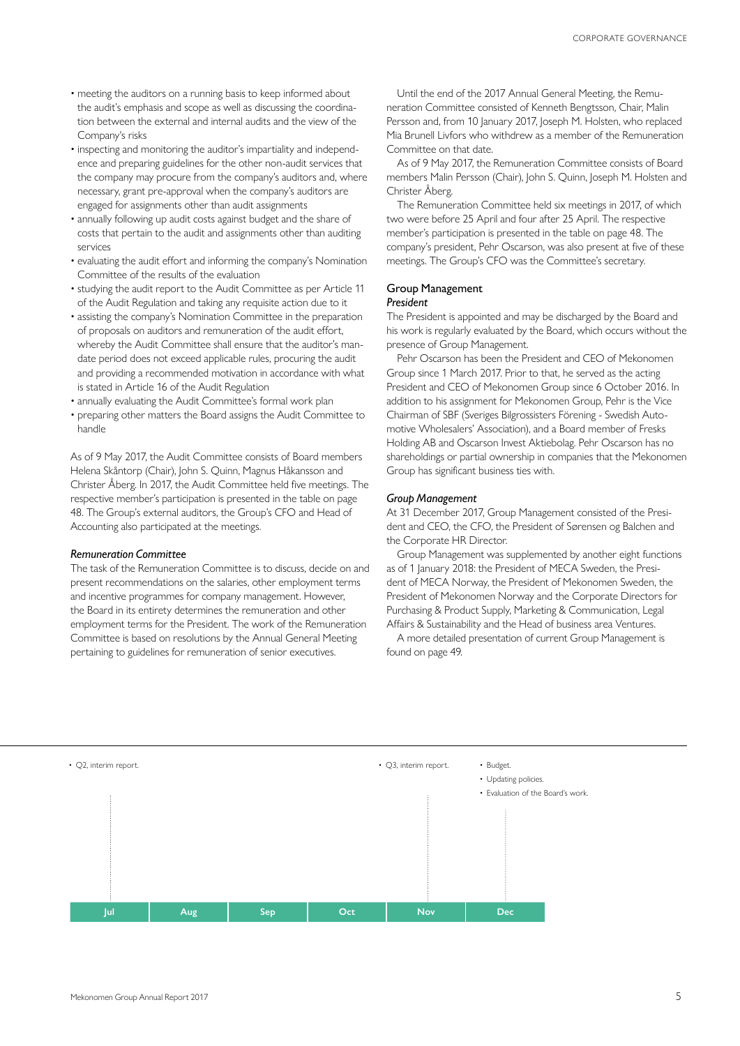- meeting the auditors on a running basis to keep informed about the audit's emphasis and scope as well as discussing the coordination between the external and internal audits and the view of the Company's risks
- inspecting and monitoring the auditor's impartiality and independence and preparing guidelines for the other non-audit services that the company may procure from the company's auditors and, where necessary, grant pre-approval when the company's auditors are engaged for assignments other than audit assignments
- annually following up audit costs against budget and the share of costs that pertain to the audit and assignments other than auditing services
- evaluating the audit effort and informing the company's Nomination Committee of the results of the evaluation
- studying the audit report to the Audit Committee as per Article 11 of the Audit Regulation and taking any requisite action due to it
- assisting the company's Nomination Committee in the preparation of proposals on auditors and remuneration of the audit effort, whereby the Audit Committee shall ensure that the auditor's mandate period does not exceed applicable rules, procuring the audit and providing a recommended motivation in accordance with what is stated in Article 16 of the Audit Regulation
- annually evaluating the Audit Committee's formal work plan
- preparing other matters the Board assigns the Audit Committee to handle

As of 9 May 2017, the Audit Committee consists of Board members Helena Skåntorp (Chair), John S. Quinn, Magnus Håkansson and Christer Åberg. In 2017, the Audit Committee held five meetings. The respective member's participation is presented in the table on page 48. The Group's external auditors, the Group's CFO and Head of Accounting also participated at the meetings.

#### *Remuneration Committee*

The task of the Remuneration Committee is to discuss, decide on and present recommendations on the salaries, other employment terms and incentive programmes for company management. However, the Board in its entirety determines the remuneration and other employment terms for the President. The work of the Remuneration Committee is based on resolutions by the Annual General Meeting pertaining to guidelines for remuneration of senior executives.

Until the end of the 2017 Annual General Meeting, the Remuneration Committee consisted of Kenneth Bengtsson, Chair, Malin Persson and, from 10 January 2017, Joseph M. Holsten, who replaced Mia Brunell Livfors who withdrew as a member of the Remuneration Committee on that date.

As of 9 May 2017, the Remuneration Committee consists of Board members Malin Persson (Chair), John S. Quinn, Joseph M. Holsten and Christer Åberg.

The Remuneration Committee held six meetings in 2017, of which two were before 25 April and four after 25 April. The respective member's participation is presented in the table on page 48. The company's president, Pehr Oscarson, was also present at five of these meetings. The Group's CFO was the Committee's secretary.

# Group Management

#### *President*

The President is appointed and may be discharged by the Board and his work is regularly evaluated by the Board, which occurs without the presence of Group Management.

Pehr Oscarson has been the President and CEO of Mekonomen Group since 1 March 2017. Prior to that, he served as the acting President and CEO of Mekonomen Group since 6 October 2016. In addition to his assignment for Mekonomen Group, Pehr is the Vice Chairman of SBF (Sveriges Bilgrossisters Förening - Swedish Automotive Wholesalers' Association), and a Board member of Fresks Holding AB and Oscarson Invest Aktiebolag. Pehr Oscarson has no shareholdings or partial ownership in companies that the Mekonomen Group has significant business ties with.

#### *Group Management*

At 31 December 2017, Group Management consisted of the President and CEO, the CFO, the President of Sørensen og Balchen and the Corporate HR Director.

Group Management was supplemented by another eight functions as of 1 January 2018: the President of MECA Sweden, the President of MECA Norway, the President of Mekonomen Sweden, the President of Mekonomen Norway and the Corporate Directors for Purchasing & Product Supply, Marketing & Communication, Legal Affairs & Sustainability and the Head of business area Ventures.

A more detailed presentation of current Group Management is found on page 49.

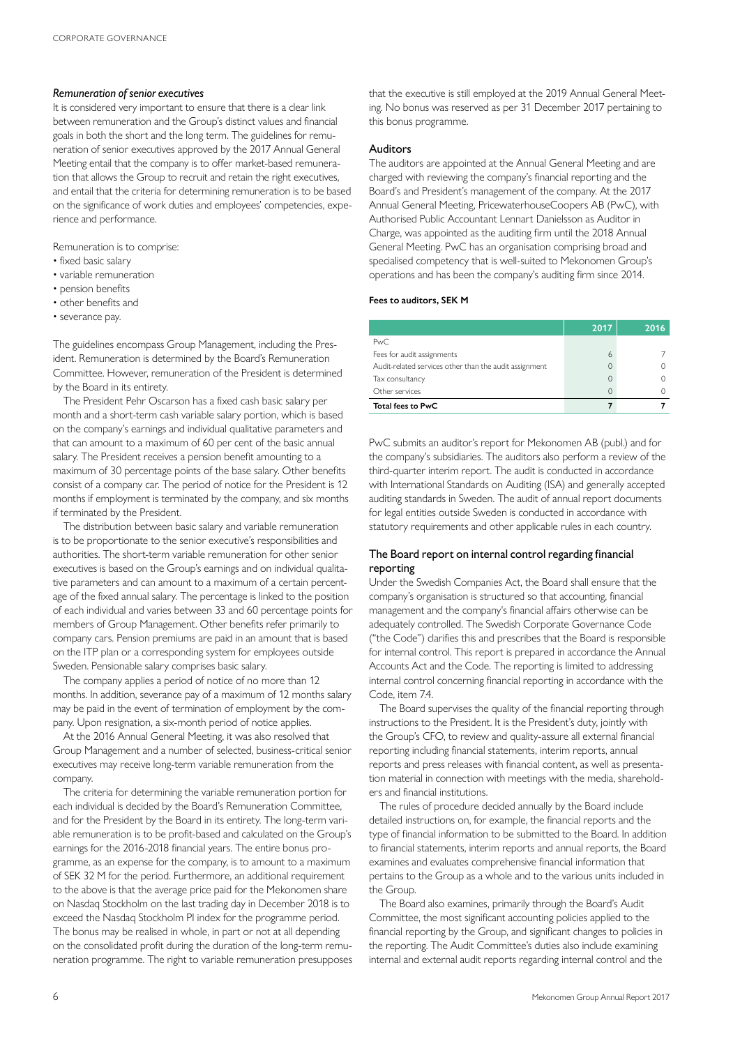#### *Remuneration of senior executives*

It is considered very important to ensure that there is a clear link between remuneration and the Group's distinct values and financial goals in both the short and the long term. The guidelines for remuneration of senior executives approved by the 2017 Annual General Meeting entail that the company is to offer market-based remuneration that allows the Group to recruit and retain the right executives, and entail that the criteria for determining remuneration is to be based on the significance of work duties and employees' competencies, experience and performance.

Remuneration is to comprise:

- fixed basic salary
- variable remuneration
- pension benefits
- other benefits and
- severance pay.

The guidelines encompass Group Management, including the President. Remuneration is determined by the Board's Remuneration Committee. However, remuneration of the President is determined by the Board in its entirety.

The President Pehr Oscarson has a fixed cash basic salary per month and a short-term cash variable salary portion, which is based on the company's earnings and individual qualitative parameters and that can amount to a maximum of 60 per cent of the basic annual salary. The President receives a pension benefit amounting to a maximum of 30 percentage points of the base salary. Other benefits consist of a company car. The period of notice for the President is 12 months if employment is terminated by the company, and six months if terminated by the President.

The distribution between basic salary and variable remuneration is to be proportionate to the senior executive's responsibilities and authorities. The short-term variable remuneration for other senior executives is based on the Group's earnings and on individual qualitative parameters and can amount to a maximum of a certain percentage of the fixed annual salary. The percentage is linked to the position of each individual and varies between 33 and 60 percentage points for members of Group Management. Other benefits refer primarily to company cars. Pension premiums are paid in an amount that is based on the ITP plan or a corresponding system for employees outside Sweden. Pensionable salary comprises basic salary.

The company applies a period of notice of no more than 12 months. In addition, severance pay of a maximum of 12 months salary may be paid in the event of termination of employment by the company. Upon resignation, a six-month period of notice applies.

At the 2016 Annual General Meeting, it was also resolved that Group Management and a number of selected, business-critical senior executives may receive long-term variable remuneration from the company.

The criteria for determining the variable remuneration portion for each individual is decided by the Board's Remuneration Committee, and for the President by the Board in its entirety. The long-term variable remuneration is to be profit-based and calculated on the Group's earnings for the 2016-2018 financial years. The entire bonus programme, as an expense for the company, is to amount to a maximum of SEK 32 M for the period. Furthermore, an additional requirement to the above is that the average price paid for the Mekonomen share on Nasdaq Stockholm on the last trading day in December 2018 is to exceed the Nasdaq Stockholm PI index for the programme period. The bonus may be realised in whole, in part or not at all depending on the consolidated profit during the duration of the long-term remuneration programme. The right to variable remuneration presupposes that the executive is still employed at the 2019 Annual General Meeting. No bonus was reserved as per 31 December 2017 pertaining to this bonus programme.

#### Auditors

The auditors are appointed at the Annual General Meeting and are charged with reviewing the company's financial reporting and the Board's and President's management of the company. At the 2017 Annual General Meeting, PricewaterhouseCoopers AB (PwC), with Authorised Public Accountant Lennart Danielsson as Auditor in Charge, was appointed as the auditing firm until the 2018 Annual General Meeting. PwC has an organisation comprising broad and specialised competency that is well-suited to Mekonomen Group's operations and has been the company's auditing firm since 2014.

#### **Fees to auditors, SEK M**

|                                                        | 2017 | 2016 |
|--------------------------------------------------------|------|------|
| PwC.                                                   |      |      |
| Fees for audit assignments                             | 6    |      |
| Audit-related services other than the audit assignment |      |      |
| Tax consultancy                                        | 0    |      |
| Other services                                         | 0    |      |
| Total fees to PwC                                      |      |      |

PwC submits an auditor's report for Mekonomen AB (publ.) and for the company's subsidiaries. The auditors also perform a review of the third-quarter interim report. The audit is conducted in accordance with International Standards on Auditing (ISA) and generally accepted auditing standards in Sweden. The audit of annual report documents for legal entities outside Sweden is conducted in accordance with statutory requirements and other applicable rules in each country.

## The Board report on internal control regarding financial reporting

Under the Swedish Companies Act, the Board shall ensure that the company's organisation is structured so that accounting, financial management and the company's financial affairs otherwise can be adequately controlled. The Swedish Corporate Governance Code ("the Code") clarifies this and prescribes that the Board is responsible for internal control. This report is prepared in accordance the Annual Accounts Act and the Code. The reporting is limited to addressing internal control concerning financial reporting in accordance with the Code, item 74

The Board supervises the quality of the financial reporting through instructions to the President. It is the President's duty, jointly with the Group's CFO, to review and quality-assure all external financial reporting including financial statements, interim reports, annual reports and press releases with financial content, as well as presentation material in connection with meetings with the media, shareholders and financial institutions.

The rules of procedure decided annually by the Board include detailed instructions on, for example, the financial reports and the type of financial information to be submitted to the Board. In addition to financial statements, interim reports and annual reports, the Board examines and evaluates comprehensive financial information that pertains to the Group as a whole and to the various units included in the Group.

The Board also examines, primarily through the Board's Audit Committee, the most significant accounting policies applied to the financial reporting by the Group, and significant changes to policies in the reporting. The Audit Committee's duties also include examining internal and external audit reports regarding internal control and the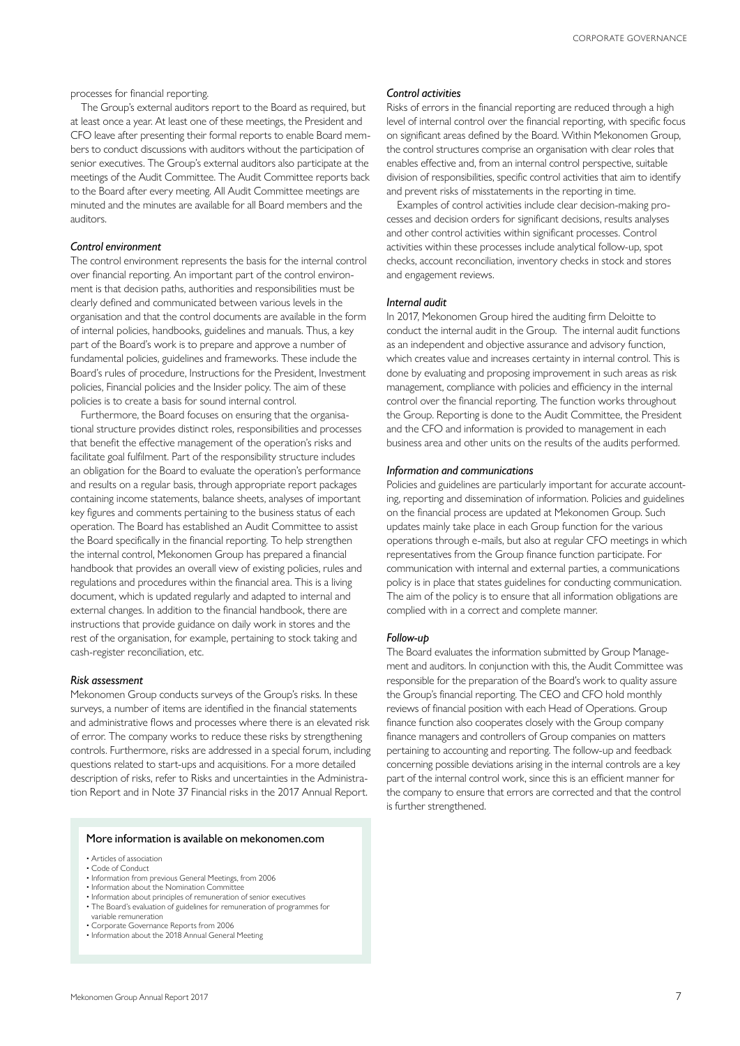processes for financial reporting.

The Group's external auditors report to the Board as required, but at least once a year. At least one of these meetings, the President and CFO leave after presenting their formal reports to enable Board members to conduct discussions with auditors without the participation of senior executives. The Group's external auditors also participate at the meetings of the Audit Committee. The Audit Committee reports back to the Board after every meeting. All Audit Committee meetings are minuted and the minutes are available for all Board members and the auditors.

#### *Control environment*

The control environment represents the basis for the internal control over financial reporting. An important part of the control environment is that decision paths, authorities and responsibilities must be clearly defined and communicated between various levels in the organisation and that the control documents are available in the form of internal policies, handbooks, guidelines and manuals. Thus, a key part of the Board's work is to prepare and approve a number of fundamental policies, guidelines and frameworks. These include the Board's rules of procedure, Instructions for the President, Investment policies, Financial policies and the Insider policy. The aim of these policies is to create a basis for sound internal control.

Furthermore, the Board focuses on ensuring that the organisational structure provides distinct roles, responsibilities and processes that benefit the effective management of the operation's risks and facilitate goal fulfilment. Part of the responsibility structure includes an obligation for the Board to evaluate the operation's performance and results on a regular basis, through appropriate report packages containing income statements, balance sheets, analyses of important key figures and comments pertaining to the business status of each operation. The Board has established an Audit Committee to assist the Board specifically in the financial reporting. To help strengthen the internal control, Mekonomen Group has prepared a financial handbook that provides an overall view of existing policies, rules and regulations and procedures within the financial area. This is a living document, which is updated regularly and adapted to internal and external changes. In addition to the financial handbook, there are instructions that provide guidance on daily work in stores and the rest of the organisation, for example, pertaining to stock taking and cash-register reconciliation, etc.

#### *Risk assessment*

Mekonomen Group conducts surveys of the Group's risks. In these surveys, a number of items are identified in the financial statements and administrative flows and processes where there is an elevated risk of error. The company works to reduce these risks by strengthening controls. Furthermore, risks are addressed in a special forum, including questions related to start-ups and acquisitions. For a more detailed description of risks, refer to Risks and uncertainties in the Administration Report and in Note 37 Financial risks in the 2017 Annual Report.

#### More information is available on mekonomen.com

- Articles of association
- Code of Conduct
- Information from previous General Meetings, from 2006
- Information about the Nomination Committee Information about principles of remuneration of senior executives
- The Board's evaluation of guidelines for remuneration of programmes for variable remuneration
- 
- Corporate Governance Reports from 2006 Information about the 2018 Annual General Meeting

#### *Control activities*

Risks of errors in the financial reporting are reduced through a high level of internal control over the financial reporting, with specific focus on significant areas defined by the Board. Within Mekonomen Group, the control structures comprise an organisation with clear roles that enables effective and, from an internal control perspective, suitable division of responsibilities, specific control activities that aim to identify and prevent risks of misstatements in the reporting in time.

Examples of control activities include clear decision-making processes and decision orders for significant decisions, results analyses and other control activities within significant processes. Control activities within these processes include analytical follow-up, spot checks, account reconciliation, inventory checks in stock and stores and engagement reviews.

#### *Internal audit*

In 2017, Mekonomen Group hired the auditing firm Deloitte to conduct the internal audit in the Group. The internal audit functions as an independent and objective assurance and advisory function, which creates value and increases certainty in internal control. This is done by evaluating and proposing improvement in such areas as risk management, compliance with policies and efficiency in the internal control over the financial reporting. The function works throughout the Group. Reporting is done to the Audit Committee, the President and the CFO and information is provided to management in each business area and other units on the results of the audits performed.

#### *Information and communications*

Policies and guidelines are particularly important for accurate accounting, reporting and dissemination of information. Policies and guidelines on the financial process are updated at Mekonomen Group. Such updates mainly take place in each Group function for the various operations through e-mails, but also at regular CFO meetings in which representatives from the Group finance function participate. For communication with internal and external parties, a communications policy is in place that states guidelines for conducting communication. The aim of the policy is to ensure that all information obligations are complied with in a correct and complete manner.

#### *Follow-up*

The Board evaluates the information submitted by Group Management and auditors. In conjunction with this, the Audit Committee was responsible for the preparation of the Board's work to quality assure the Group's financial reporting. The CEO and CFO hold monthly reviews of financial position with each Head of Operations. Group finance function also cooperates closely with the Group company finance managers and controllers of Group companies on matters pertaining to accounting and reporting. The follow-up and feedback concerning possible deviations arising in the internal controls are a key part of the internal control work, since this is an efficient manner for the company to ensure that errors are corrected and that the control is further strengthened.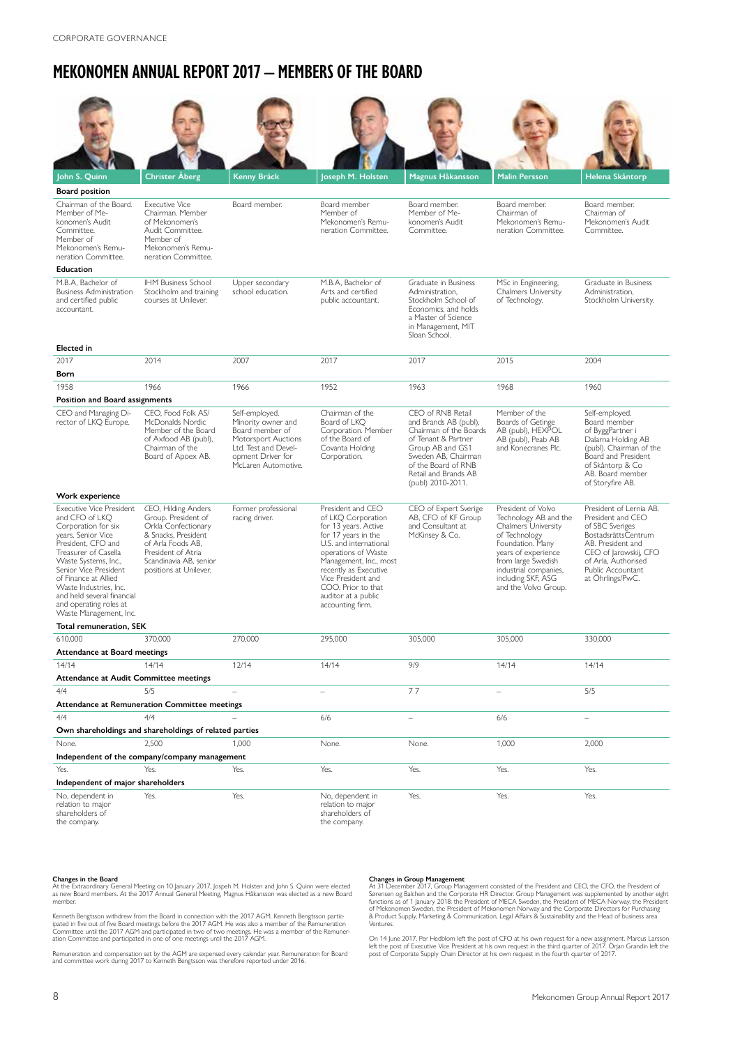## **MEKONOMEN ANNUAL REPORT 2017 – MEMBERS OF THE BOARD**

| John S. Quinn                                                                                                                                                                                                                                                                                                             | Christer Åberg                                                                                                                                                   | Kenny Bräck                                                                                                                                        | Joseph M. Holsten                                                                                                                                                                                                                                            | Magnus Håkansson                                                                                                                                                                                           | <b>Malin Persson</b>                                                                                                                                                                                  | Helena Skåntorp                                                                                                                                                                        |
|---------------------------------------------------------------------------------------------------------------------------------------------------------------------------------------------------------------------------------------------------------------------------------------------------------------------------|------------------------------------------------------------------------------------------------------------------------------------------------------------------|----------------------------------------------------------------------------------------------------------------------------------------------------|--------------------------------------------------------------------------------------------------------------------------------------------------------------------------------------------------------------------------------------------------------------|------------------------------------------------------------------------------------------------------------------------------------------------------------------------------------------------------------|-------------------------------------------------------------------------------------------------------------------------------------------------------------------------------------------------------|----------------------------------------------------------------------------------------------------------------------------------------------------------------------------------------|
| <b>Board position</b>                                                                                                                                                                                                                                                                                                     |                                                                                                                                                                  |                                                                                                                                                    |                                                                                                                                                                                                                                                              |                                                                                                                                                                                                            |                                                                                                                                                                                                       |                                                                                                                                                                                        |
| Chairman of the Board.<br>Member of Me-<br>konomen's Audit<br>Committee.<br>Member of<br>Mekonomen's Remu-<br>neration Committee.                                                                                                                                                                                         | <b>Executive Vice</b><br>Chairman. Member<br>of Mekonomen's<br>Audit Committee.<br>Member of<br>Mekonomen's Remu-<br>neration Committee.                         | Board member.                                                                                                                                      | Board member<br>Member of<br>Mekonomen's Remu-<br>neration Committee.                                                                                                                                                                                        | Board member.<br>Member of Me-<br>konomen's Audit<br>Committee.                                                                                                                                            | Board member.<br>Chairman of<br>Mekonomen's Remu-<br>neration Committee.                                                                                                                              | Board member.<br>Chairman of<br>Mekonomen's Audit<br>Committee.                                                                                                                        |
| Education                                                                                                                                                                                                                                                                                                                 |                                                                                                                                                                  |                                                                                                                                                    |                                                                                                                                                                                                                                                              |                                                                                                                                                                                                            |                                                                                                                                                                                                       |                                                                                                                                                                                        |
| M.B.A, Bachelor of<br><b>Business Administration</b><br>and certified public<br>accountant.<br><b>Elected</b> in                                                                                                                                                                                                          | <b>IHM Business School</b><br>Stockholm and training<br>courses at Unilever.                                                                                     | Upper secondary<br>school education.                                                                                                               | M.B.A, Bachelor of<br>Arts and certified<br>public accountant.                                                                                                                                                                                               | Graduate in Business<br>Administration,<br>Stockholm School of<br>Economics, and holds<br>a Master of Science<br>in Management, MIT<br>Sloan School.                                                       | MSc in Engineering,<br><b>Chalmers University</b><br>of Technology.                                                                                                                                   | Graduate in Business<br>Administration,<br>Stockholm University.                                                                                                                       |
| 2017                                                                                                                                                                                                                                                                                                                      | 2014                                                                                                                                                             | 2007                                                                                                                                               | 2017                                                                                                                                                                                                                                                         | 2017                                                                                                                                                                                                       | 2015                                                                                                                                                                                                  | 2004                                                                                                                                                                                   |
| Born                                                                                                                                                                                                                                                                                                                      |                                                                                                                                                                  |                                                                                                                                                    |                                                                                                                                                                                                                                                              |                                                                                                                                                                                                            |                                                                                                                                                                                                       |                                                                                                                                                                                        |
| 1958                                                                                                                                                                                                                                                                                                                      | 1966                                                                                                                                                             | 1966                                                                                                                                               | 1952                                                                                                                                                                                                                                                         | 1963                                                                                                                                                                                                       | 1968                                                                                                                                                                                                  | 1960                                                                                                                                                                                   |
| Position and Board assignments                                                                                                                                                                                                                                                                                            |                                                                                                                                                                  |                                                                                                                                                    |                                                                                                                                                                                                                                                              |                                                                                                                                                                                                            |                                                                                                                                                                                                       |                                                                                                                                                                                        |
|                                                                                                                                                                                                                                                                                                                           |                                                                                                                                                                  |                                                                                                                                                    |                                                                                                                                                                                                                                                              |                                                                                                                                                                                                            | Member of the                                                                                                                                                                                         |                                                                                                                                                                                        |
| CEO and Managing Di-<br>rector of LKQ Europe.<br>Work experience                                                                                                                                                                                                                                                          | CEO, Food Folk AS/<br>McDonalds Nordic<br>Member of the Board<br>of Axfood AB (publ),<br>Chairman of the<br>Board of Apoex AB.                                   | Self-employed.<br>Minority owner and<br>Board member of<br>Motorsport Auctions<br>Ltd. Test and Devel-<br>opment Driver for<br>McLaren Automotive. | Chairman of the<br>Board of LKO<br>Corporation. Member<br>of the Board of<br>Covanta Holding<br>Corporation.                                                                                                                                                 | CEO of RNB Retail<br>and Brands AB (publ),<br>Chairman of the Boards<br>of Tenant & Partner<br>Group AB and GS1<br>Sweden AB, Chairman<br>of the Board of RNB<br>Retail and Brands AB<br>(publ) 2010-2011. | Boards of Getinge<br>AB (publ), HEXPOL<br>AB (publ), Peab AB<br>and Konecranes Plc.                                                                                                                   | Self-employed.<br>Board member<br>of ByggPartner i<br>Dalarna Holding AB<br>(publ). Chairman of the<br>Board and President<br>of Skåntorp & Co<br>AB. Board member<br>of Storyfire AB. |
| <b>Executive Vice President</b>                                                                                                                                                                                                                                                                                           | CEO, Hilding Anders                                                                                                                                              | Former professional                                                                                                                                | President and CEO                                                                                                                                                                                                                                            | CEO of Expert Sverige                                                                                                                                                                                      | President of Volvo                                                                                                                                                                                    | President of Lernia AB.                                                                                                                                                                |
| and CFO of LKQ<br>Corporation for six<br>years. Senior Vice<br>President, CFO and<br>Treasurer of Casella<br>Waste Systems, Inc.,<br>Senior Vice President<br>of Finance at Allied<br>Waste Industries, Inc.<br>and held several financial<br>and operating roles at<br>Waste Management, Inc.<br>Total remuneration, SEK | Group. President of<br>Orkla Confectionary<br>& Snacks, President<br>of Arla Foods AB,<br>President of Atria<br>Scandinavia AB, senior<br>positions at Unilever. | racing driver.                                                                                                                                     | of LKQ Corporation<br>for 13 years. Active<br>for 17 years in the<br>U.S. and international<br>operations of Waste<br>Management, Inc., most<br>recently as Executive<br>Vice President and<br>COO. Prior to that<br>auditor at a public<br>accounting firm. | AB, CFO of KF Group<br>and Consultant at<br>McKinsey & Co.                                                                                                                                                 | Technology AB and the<br>Chalmers University<br>of Technology<br>Foundation. Many<br>years of experience<br>from large Swedish<br>industrial companies,<br>including SKF, ASG<br>and the Volvo Group. | President and CEO<br>of SBC Sveriges<br>BostadsrättsCentrum<br>AB. President and<br>CEO of Jarowskij, CFO<br>of Arla, Authorised<br>Public Accountant<br>at Öhrlings/PwC.              |
|                                                                                                                                                                                                                                                                                                                           |                                                                                                                                                                  |                                                                                                                                                    |                                                                                                                                                                                                                                                              |                                                                                                                                                                                                            |                                                                                                                                                                                                       |                                                                                                                                                                                        |
| 610,000                                                                                                                                                                                                                                                                                                                   | 370,000                                                                                                                                                          | 270,000                                                                                                                                            | 295,000                                                                                                                                                                                                                                                      | 305,000                                                                                                                                                                                                    | 305,000                                                                                                                                                                                               | 330,000                                                                                                                                                                                |
| Attendance at Board meetings                                                                                                                                                                                                                                                                                              |                                                                                                                                                                  |                                                                                                                                                    |                                                                                                                                                                                                                                                              |                                                                                                                                                                                                            |                                                                                                                                                                                                       |                                                                                                                                                                                        |
| 14/14                                                                                                                                                                                                                                                                                                                     | 14/14                                                                                                                                                            | 12/14                                                                                                                                              | 14/14                                                                                                                                                                                                                                                        | 9/9                                                                                                                                                                                                        | 14/14                                                                                                                                                                                                 | 14/14                                                                                                                                                                                  |
| Attendance at Audit Committee meetings                                                                                                                                                                                                                                                                                    |                                                                                                                                                                  |                                                                                                                                                    |                                                                                                                                                                                                                                                              |                                                                                                                                                                                                            |                                                                                                                                                                                                       |                                                                                                                                                                                        |
| 4/4                                                                                                                                                                                                                                                                                                                       | 5/5                                                                                                                                                              |                                                                                                                                                    |                                                                                                                                                                                                                                                              | 77                                                                                                                                                                                                         |                                                                                                                                                                                                       | 5/5                                                                                                                                                                                    |
| Attendance at Remuneration Committee meetings                                                                                                                                                                                                                                                                             |                                                                                                                                                                  |                                                                                                                                                    |                                                                                                                                                                                                                                                              |                                                                                                                                                                                                            |                                                                                                                                                                                                       |                                                                                                                                                                                        |
| 4/4                                                                                                                                                                                                                                                                                                                       | 4/4                                                                                                                                                              |                                                                                                                                                    | 6/6                                                                                                                                                                                                                                                          | $\equiv$                                                                                                                                                                                                   | 6/6                                                                                                                                                                                                   |                                                                                                                                                                                        |
|                                                                                                                                                                                                                                                                                                                           | Own shareholdings and shareholdings of related parties                                                                                                           |                                                                                                                                                    |                                                                                                                                                                                                                                                              |                                                                                                                                                                                                            |                                                                                                                                                                                                       |                                                                                                                                                                                        |
| None.                                                                                                                                                                                                                                                                                                                     | 2,500                                                                                                                                                            | 1,000                                                                                                                                              | None.                                                                                                                                                                                                                                                        | None.                                                                                                                                                                                                      | 1,000                                                                                                                                                                                                 | 2,000                                                                                                                                                                                  |
|                                                                                                                                                                                                                                                                                                                           | Independent of the company/company management                                                                                                                    |                                                                                                                                                    |                                                                                                                                                                                                                                                              |                                                                                                                                                                                                            |                                                                                                                                                                                                       |                                                                                                                                                                                        |
| Yes.<br>Yes.<br>Yes.<br>Yes.<br>Yes.<br>Yes.<br>Yes.                                                                                                                                                                                                                                                                      |                                                                                                                                                                  |                                                                                                                                                    |                                                                                                                                                                                                                                                              |                                                                                                                                                                                                            |                                                                                                                                                                                                       |                                                                                                                                                                                        |
| Independent of major shareholders                                                                                                                                                                                                                                                                                         |                                                                                                                                                                  |                                                                                                                                                    |                                                                                                                                                                                                                                                              |                                                                                                                                                                                                            |                                                                                                                                                                                                       |                                                                                                                                                                                        |
| No, dependent in<br>relation to major<br>shareholders of<br>the company.                                                                                                                                                                                                                                                  | Yes.                                                                                                                                                             | Yes.                                                                                                                                               | No, dependent in<br>relation to major<br>shareholders of<br>the company.                                                                                                                                                                                     | Yes.                                                                                                                                                                                                       | Yes.                                                                                                                                                                                                  | Yes.                                                                                                                                                                                   |

**Changes in the Board**<br>At the Extraordinary General Meeting on 10 January 2017, Jospeh M. Holsten and John S. Quinn were elected<br>as new Board members. At the 2017 Annual General Meeting, Magnus Håkansson was elected as a n member.

Kenneth Bengtsson withdrew from the Board in connection with the 2017 AGM. Kenneth Bengtsson partic-<br>lipated in five out of five Board meetings before the 2017 AGM. He was also a member of the Remuneration<br>Committee until

Remuneration and compensation set by the AGM are expensed every calendar year. Remuneration for Board and committee work during 2017 to Kenneth Bengtsson was therefore reported under 2016.

**Changes in Group Management**<br> **Changes in Group Management** consisted of the President and CEO, the CFO, the President of<br>
At 31 December 2017, Group Management consisted of the President and CEO, the CFO, the President o

On 14 June 2017, Per Hedblom left the post of CFO at his own request for a new assignment. Marcus Larsson<br>left the post of Executive Vice President at his own request in the third quarter of 2017. Örjan Grandin left the<br>po